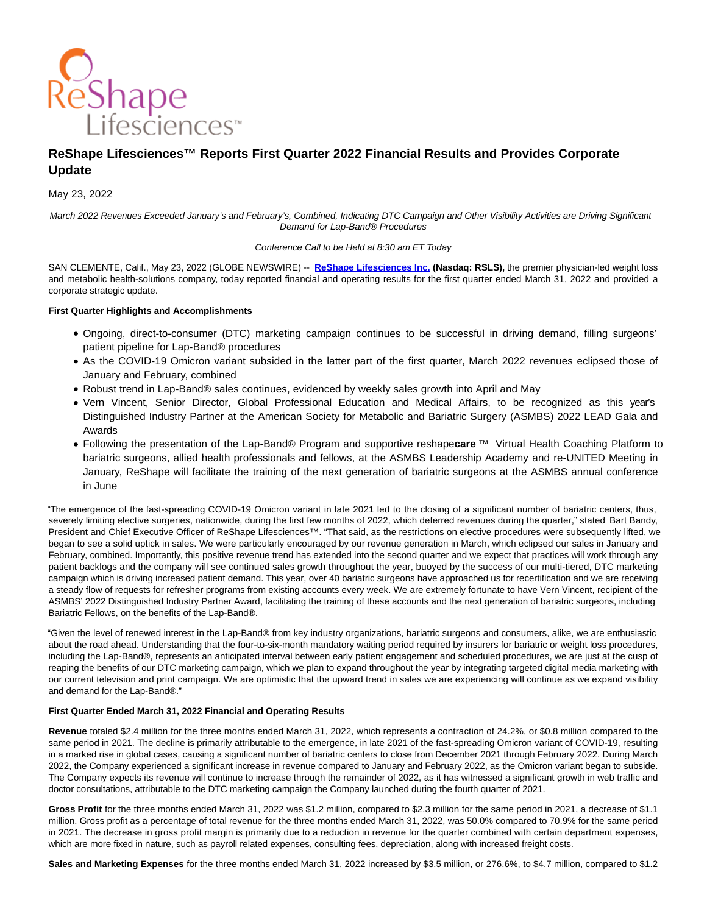

# **ReShape Lifesciences™ Reports First Quarter 2022 Financial Results and Provides Corporate Update**

May 23, 2022

March 2022 Revenues Exceeded January's and February's, Combined, Indicating DTC Campaign and Other Visibility Activities are Driving Significant Demand for Lap-Band® Procedures

## Conference Call to be Held at 8:30 am ET Today

SAN CLEMENTE, Calif., May 23, 2022 (GLOBE NEWSWIRE) -- **[ReShape Lifesciences Inc. \(](https://www.globenewswire.com/Tracker?data=TGXJNuhdoO92kPmU8SVHwRk0YuueA7z6yKBDOqzXIlBht-4DzI21J1p0A7SH_etxQWfZx0neCBZ__p91hfsvV8o84dCySpwz5nbbooMwb175KuxQKd2OK2-AX9ii-swA)Nasdaq: RSLS),** the premier physician-led weight loss and metabolic health-solutions company, today reported financial and operating results for the first quarter ended March 31, 2022 and provided a corporate strategic update.

# **First Quarter Highlights and Accomplishments**

- Ongoing, direct-to-consumer (DTC) marketing campaign continues to be successful in driving demand, filling surgeons' patient pipeline for Lap-Band® procedures
- As the COVID-19 Omicron variant subsided in the latter part of the first quarter, March 2022 revenues eclipsed those of January and February, combined
- Robust trend in Lap-Band® sales continues, evidenced by weekly sales growth into April and May
- Vern Vincent, Senior Director, Global Professional Education and Medical Affairs, to be recognized as this year's Distinguished Industry Partner at the American Society for Metabolic and Bariatric Surgery (ASMBS) 2022 LEAD Gala and Awards
- Following the presentation of the Lap-Band® Program and supportive reshape**care** ™ Virtual Health Coaching Platform to bariatric surgeons, allied health professionals and fellows, at the ASMBS Leadership Academy and re-UNITED Meeting in January, ReShape will facilitate the training of the next generation of bariatric surgeons at the ASMBS annual conference in June

"The emergence of the fast-spreading COVID-19 Omicron variant in late 2021 led to the closing of a significant number of bariatric centers, thus, severely limiting elective surgeries, nationwide, during the first few months of 2022, which deferred revenues during the quarter," stated Bart Bandy, President and Chief Executive Officer of ReShape Lifesciences™. "That said, as the restrictions on elective procedures were subsequently lifted, we began to see a solid uptick in sales. We were particularly encouraged by our revenue generation in March, which eclipsed our sales in January and February, combined. Importantly, this positive revenue trend has extended into the second quarter and we expect that practices will work through any patient backlogs and the company will see continued sales growth throughout the year, buoyed by the success of our multi-tiered, DTC marketing campaign which is driving increased patient demand. This year, over 40 bariatric surgeons have approached us for recertification and we are receiving a steady flow of requests for refresher programs from existing accounts every week. We are extremely fortunate to have Vern Vincent, recipient of the ASMBS' 2022 Distinguished Industry Partner Award, facilitating the training of these accounts and the next generation of bariatric surgeons, including Bariatric Fellows, on the benefits of the Lap-Band®.

"Given the level of renewed interest in the Lap-Band® from key industry organizations, bariatric surgeons and consumers, alike, we are enthusiastic about the road ahead. Understanding that the four-to-six-month mandatory waiting period required by insurers for bariatric or weight loss procedures, including the Lap-Band®, represents an anticipated interval between early patient engagement and scheduled procedures, we are just at the cusp of reaping the benefits of our DTC marketing campaign, which we plan to expand throughout the year by integrating targeted digital media marketing with our current television and print campaign. We are optimistic that the upward trend in sales we are experiencing will continue as we expand visibility and demand for the Lap-Band®."

# **First Quarter Ended March 31, 2022 Financial and Operating Results**

**Revenue** totaled \$2.4 million for the three months ended March 31, 2022, which represents a contraction of 24.2%, or \$0.8 million compared to the same period in 2021. The decline is primarily attributable to the emergence, in late 2021 of the fast-spreading Omicron variant of COVID-19, resulting in a marked rise in global cases, causing a significant number of bariatric centers to close from December 2021 through February 2022. During March 2022, the Company experienced a significant increase in revenue compared to January and February 2022, as the Omicron variant began to subside. The Company expects its revenue will continue to increase through the remainder of 2022, as it has witnessed a significant growth in web traffic and doctor consultations, attributable to the DTC marketing campaign the Company launched during the fourth quarter of 2021.

**Gross Profit** for the three months ended March 31, 2022 was \$1.2 million, compared to \$2.3 million for the same period in 2021, a decrease of \$1.1 million. Gross profit as a percentage of total revenue for the three months ended March 31, 2022, was 50.0% compared to 70.9% for the same period in 2021. The decrease in gross profit margin is primarily due to a reduction in revenue for the quarter combined with certain department expenses, which are more fixed in nature, such as payroll related expenses, consulting fees, depreciation, along with increased freight costs.

**Sales and Marketing Expenses** for the three months ended March 31, 2022 increased by \$3.5 million, or 276.6%, to \$4.7 million, compared to \$1.2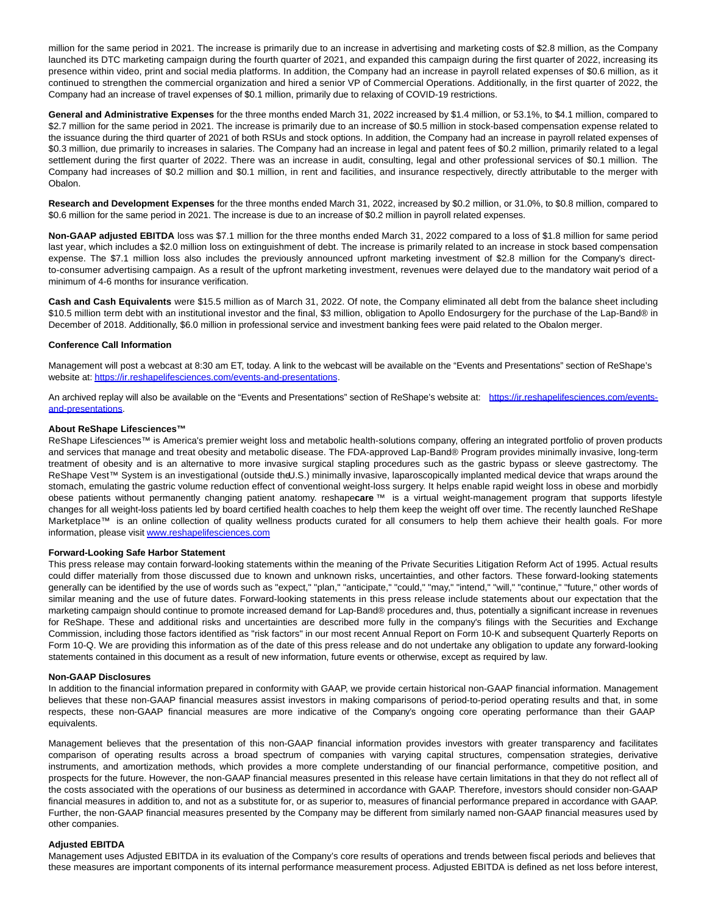million for the same period in 2021. The increase is primarily due to an increase in advertising and marketing costs of \$2.8 million, as the Company launched its DTC marketing campaign during the fourth quarter of 2021, and expanded this campaign during the first quarter of 2022, increasing its presence within video, print and social media platforms. In addition, the Company had an increase in payroll related expenses of \$0.6 million, as it continued to strengthen the commercial organization and hired a senior VP of Commercial Operations. Additionally, in the first quarter of 2022, the Company had an increase of travel expenses of \$0.1 million, primarily due to relaxing of COVID-19 restrictions.

**General and Administrative Expenses** for the three months ended March 31, 2022 increased by \$1.4 million, or 53.1%, to \$4.1 million, compared to \$2.7 million for the same period in 2021. The increase is primarily due to an increase of \$0.5 million in stock-based compensation expense related to the issuance during the third quarter of 2021 of both RSUs and stock options. In addition, the Company had an increase in payroll related expenses of \$0.3 million, due primarily to increases in salaries. The Company had an increase in legal and patent fees of \$0.2 million, primarily related to a legal settlement during the first quarter of 2022. There was an increase in audit, consulting, legal and other professional services of \$0.1 million. The Company had increases of \$0.2 million and \$0.1 million, in rent and facilities, and insurance respectively, directly attributable to the merger with Obalon.

**Research and Development Expenses** for the three months ended March 31, 2022, increased by \$0.2 million, or 31.0%, to \$0.8 million, compared to \$0.6 million for the same period in 2021. The increase is due to an increase of \$0.2 million in payroll related expenses.

**Non-GAAP adjusted EBITDA** loss was \$7.1 million for the three months ended March 31, 2022 compared to a loss of \$1.8 million for same period last year, which includes a \$2.0 million loss on extinguishment of debt. The increase is primarily related to an increase in stock based compensation expense. The \$7.1 million loss also includes the previously announced upfront marketing investment of \$2.8 million for the Company's directto-consumer advertising campaign. As a result of the upfront marketing investment, revenues were delayed due to the mandatory wait period of a minimum of 4-6 months for insurance verification.

**Cash and Cash Equivalents** were \$15.5 million as of March 31, 2022. Of note, the Company eliminated all debt from the balance sheet including \$10.5 million term debt with an institutional investor and the final, \$3 million, obligation to Apollo Endosurgery for the purchase of the Lap-Band® in December of 2018. Additionally, \$6.0 million in professional service and investment banking fees were paid related to the Obalon merger.

## **Conference Call Information**

Management will post a webcast at 8:30 am ET, today. A link to the webcast will be available on the "Events and Presentations" section of ReShape's website at[: https://ir.reshapelifesciences.com/events-and-presentations.](https://www.globenewswire.com/Tracker?data=_aQ9fE-wKOHeKTG1XN4hIrdoVX3ciNck2Q6M31Uc2vx6lUL1CjpPkww-8jHkJoGzOn4u7Fgj9FzPiOIUzblFR5dgQWO62ZMfaQgL-TZp8BMYRImDbj6plwxm1A4onUn58zjZULAjT-nWaLyl8SsUe441WZy6acAUJRlUUSGqRltcuqMrk20sgUuT1dNAIM5D)

An archived replay will also be available on the "Events and Presentations" section of ReShape's website at: [https://ir.reshapelifesciences.com/events](https://www.globenewswire.com/Tracker?data=_aQ9fE-wKOHeKTG1XN4hIrdoVX3ciNck2Q6M31Uc2vx6lUL1CjpPkww-8jHkJoGzOn4u7Fgj9FzPiOIUzblFRxP7MIjrkRqI-5Uy_DJbeoZ4tdsjPANwx0DuM66NiE5BqTYoBURWZ8qFcc2Z_S-LWlSYVk2Gkafi_qG0BGnK-izXdXm0kNFFVAQbh4F_D2lE)and-presentations.

## **About ReShape Lifesciences™**

ReShape Lifesciences™ is America's premier weight loss and metabolic health-solutions company, offering an integrated portfolio of proven products and services that manage and treat obesity and metabolic disease. The FDA-approved Lap-Band® Program provides minimally invasive, long-term treatment of obesity and is an alternative to more invasive surgical stapling procedures such as the gastric bypass or sleeve gastrectomy. The ReShape Vest™ System is an investigational (outside the U.S.) minimally invasive, laparoscopically implanted medical device that wraps around the stomach, emulating the gastric volume reduction effect of conventional weight-loss surgery. It helps enable rapid weight loss in obese and morbidly obese patients without permanently changing patient anatomy. reshape**care** ™ is a virtual weight-management program that supports lifestyle changes for all weight-loss patients led by board certified health coaches to help them keep the weight off over time. The recently launched ReShape Marketplace™ is an online collection of quality wellness products curated for all consumers to help them achieve their health goals. For more information, please visi[t www.reshapelifesciences.com](https://www.globenewswire.com/Tracker?data=73WrC8jSWcIMOovGR5Tb3YV8Jn82zId5chp3jMOKtuXchEqWhmThgXw3B1XVPOLJV70smgC8-C7LVMW1G08LUErTeHr7d5yeXSaG0kmFFigJnzM8vCDEjJVGpRP59shV)

#### **Forward-Looking Safe Harbor Statement**

This press release may contain forward-looking statements within the meaning of the Private Securities Litigation Reform Act of 1995. Actual results could differ materially from those discussed due to known and unknown risks, uncertainties, and other factors. These forward-looking statements generally can be identified by the use of words such as "expect," "plan," "anticipate," "could," "may," "intend," "will," "continue," "future," other words of similar meaning and the use of future dates. Forward-looking statements in this press release include statements about our expectation that the marketing campaign should continue to promote increased demand for Lap-Band® procedures and, thus, potentially a significant increase in revenues for ReShape. These and additional risks and uncertainties are described more fully in the company's filings with the Securities and Exchange Commission, including those factors identified as "risk factors" in our most recent Annual Report on Form 10-K and subsequent Quarterly Reports on Form 10-Q. We are providing this information as of the date of this press release and do not undertake any obligation to update any forward-looking statements contained in this document as a result of new information, future events or otherwise, except as required by law.

#### **Non-GAAP Disclosures**

In addition to the financial information prepared in conformity with GAAP, we provide certain historical non-GAAP financial information. Management believes that these non-GAAP financial measures assist investors in making comparisons of period-to-period operating results and that, in some respects, these non-GAAP financial measures are more indicative of the Company's ongoing core operating performance than their GAAP equivalents.

Management believes that the presentation of this non-GAAP financial information provides investors with greater transparency and facilitates comparison of operating results across a broad spectrum of companies with varying capital structures, compensation strategies, derivative instruments, and amortization methods, which provides a more complete understanding of our financial performance, competitive position, and prospects for the future. However, the non-GAAP financial measures presented in this release have certain limitations in that they do not reflect all of the costs associated with the operations of our business as determined in accordance with GAAP. Therefore, investors should consider non-GAAP financial measures in addition to, and not as a substitute for, or as superior to, measures of financial performance prepared in accordance with GAAP. Further, the non-GAAP financial measures presented by the Company may be different from similarly named non-GAAP financial measures used by other companies.

## **Adjusted EBITDA**

Management uses Adjusted EBITDA in its evaluation of the Company's core results of operations and trends between fiscal periods and believes that these measures are important components of its internal performance measurement process. Adjusted EBITDA is defined as net loss before interest,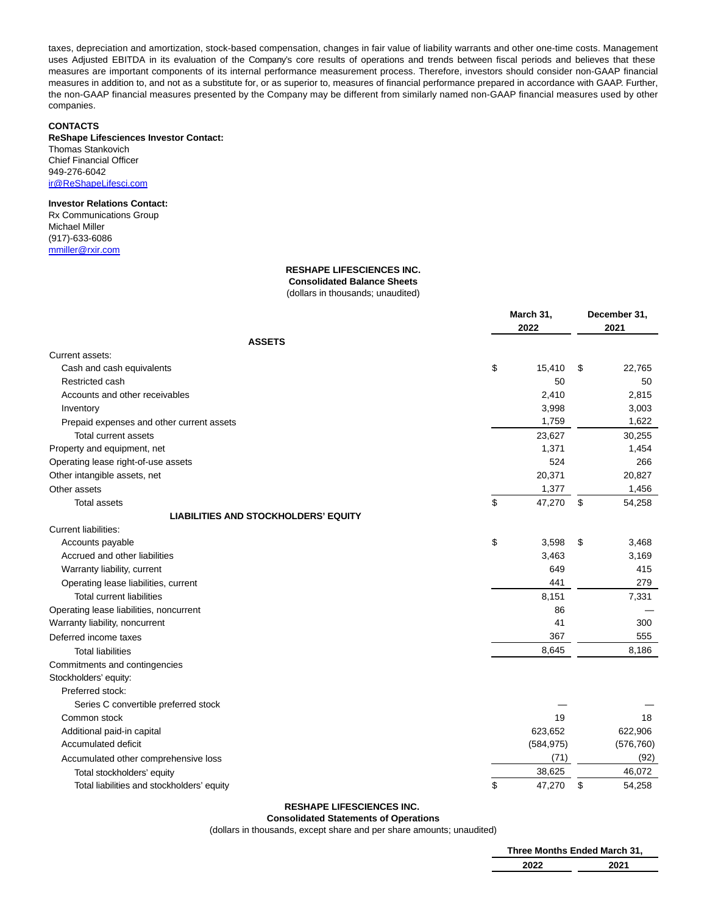taxes, depreciation and amortization, stock-based compensation, changes in fair value of liability warrants and other one-time costs. Management uses Adjusted EBITDA in its evaluation of the Company's core results of operations and trends between fiscal periods and believes that these measures are important components of its internal performance measurement process. Therefore, investors should consider non-GAAP financial measures in addition to, and not as a substitute for, or as superior to, measures of financial performance prepared in accordance with GAAP. Further, the non-GAAP financial measures presented by the Company may be different from similarly named non-GAAP financial measures used by other companies.

# **CONTACTS**

**ReShape Lifesciences Investor Contact:** Thomas Stankovich Chief Financial Officer 949-276-6042 [ir@ReShapeLifesci.com](https://www.globenewswire.com/Tracker?data=fGbJoAuyjMl0hxdRJdDBLBVYKE0zMMXGCaeu4SH1HTyNOd1_ytVqemWCJvauJrWOgdRJihGJu2IYF8MSGifIymVlSE446z3ebgIOFimirsAvBD2wvEJXYvcNhIL15MIRgoS5y3akotuBoxlMoAew29KgeamiPt88cKWzoxgibW1BHVprnulmZ_vPEdDtZOMfGg8Vcg5x6rw_-JNDaEie9gY7a5JkTCJUTj1flo6Utm_HADCyFH1DWkojUIfQaBm_WzQvtCR_-mQxZ7kCjXNXvQ==)

# **Investor Relations Contact:**

Rx Communications Group Michael Miller (917)-633-6086 [mmiller@rxir.com](https://www.globenewswire.com/Tracker?data=PmsufU8BR6WAOseFac6ZkUjHDiqP2zRDLDCO5qmVr_2BuYmci9pBDsq8KETPf6oj1KlyeGKtWTKWofpBlNs7QQ==)

# **RESHAPE LIFESCIENCES INC.**

**Consolidated Balance Sheets**

(dollars in thousands; unaudited)

|                                             | 2022         |    | 2021       |  |
|---------------------------------------------|--------------|----|------------|--|
| <b>ASSETS</b>                               |              |    |            |  |
| Current assets:                             |              |    |            |  |
| Cash and cash equivalents                   | \$<br>15,410 | \$ | 22,765     |  |
| Restricted cash                             | 50           |    | 50         |  |
| Accounts and other receivables              | 2,410        |    | 2,815      |  |
| Inventory                                   | 3,998        |    | 3,003      |  |
| Prepaid expenses and other current assets   | 1,759        |    | 1,622      |  |
| Total current assets                        | 23,627       |    | 30,255     |  |
| Property and equipment, net                 | 1,371        |    | 1,454      |  |
| Operating lease right-of-use assets         | 524          |    | 266        |  |
| Other intangible assets, net                | 20,371       |    | 20,827     |  |
| Other assets                                | 1,377        |    | 1,456      |  |
| <b>Total assets</b>                         | \$<br>47,270 | \$ | 54,258     |  |
| <b>LIABILITIES AND STOCKHOLDERS' EQUITY</b> |              |    |            |  |
| Current liabilities:                        |              |    |            |  |
| Accounts payable                            | \$<br>3,598  | \$ | 3,468      |  |
| Accrued and other liabilities               | 3,463        |    | 3,169      |  |
| Warranty liability, current                 | 649          |    | 415        |  |
| Operating lease liabilities, current        | 441          |    | 279        |  |
| <b>Total current liabilities</b>            | 8,151        |    | 7,331      |  |
| Operating lease liabilities, noncurrent     | 86           |    |            |  |
| Warranty liability, noncurrent              | 41           |    | 300        |  |
| Deferred income taxes                       | 367          |    | 555        |  |
| <b>Total liabilities</b>                    | 8,645        |    | 8,186      |  |
| Commitments and contingencies               |              |    |            |  |
| Stockholders' equity:                       |              |    |            |  |
| Preferred stock:                            |              |    |            |  |
| Series C convertible preferred stock        |              |    |            |  |
| Common stock                                | 19           |    | 18         |  |
| Additional paid-in capital                  | 623,652      |    | 622,906    |  |
| Accumulated deficit                         | (584, 975)   |    | (576, 760) |  |
| Accumulated other comprehensive loss        | (71)         |    | (92)       |  |
| Total stockholders' equity                  | 38,625       |    | 46,072     |  |
| Total liabilities and stockholders' equity  | \$<br>47,270 | \$ | 54,258     |  |

## **RESHAPE LIFESCIENCES INC. Consolidated Statements of Operations**

(dollars in thousands, except share and per share amounts; unaudited)

| Three Months Ended March 31, |      |  |
|------------------------------|------|--|
| 2022                         | 2021 |  |

**March 31, December 31,**